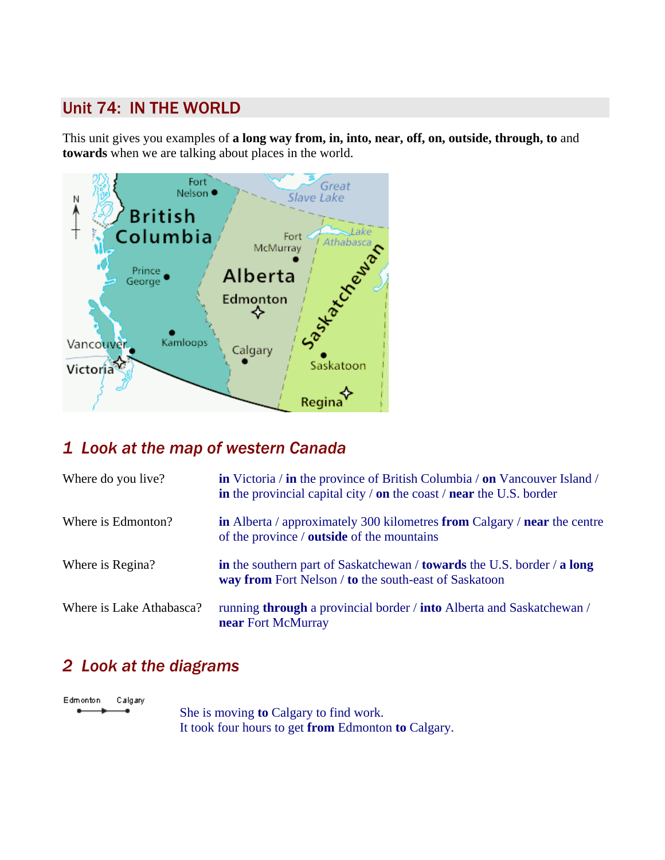## Unit 74: IN THE WORLD

This unit gives you examples of **a long way from, in, into, near, off, on, outside, through, to** and **towards** when we are talking about places in the world.



## *1 Look at the map of western Canada*

| Where do you live?       | <b>in</b> Victoria / <b>in</b> the province of British Columbia / <b>on</b> Vancouver Island /<br>in the provincial capital city $\theta$ on the coast $\theta$ near the U.S. border |
|--------------------------|--------------------------------------------------------------------------------------------------------------------------------------------------------------------------------------|
| Where is Edmonton?       | in Alberta / approximately 300 kilometres from Calgary / near the centre<br>of the province / <b>outside</b> of the mountains                                                        |
| Where is Regina?         | in the southern part of Saskatchewan / towards the U.S. border / a long<br>way from Fort Nelson / to the south-east of Saskatoon                                                     |
| Where is Lake Athabasca? | running through a provincial border / into Alberta and Saskatchewan /<br>near Fort McMurray                                                                                          |

## *2 Look at the diagrams*

Edmonton Calgary

 She is moving **to** Calgary to find work. It took four hours to get **from** Edmonton **to** Calgary.